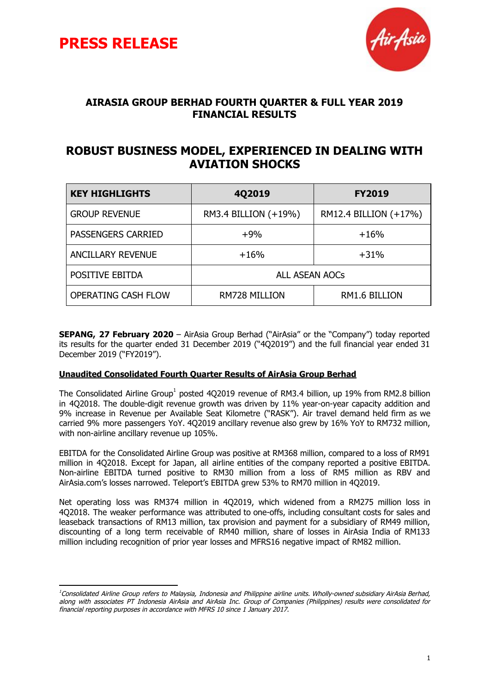



### **AIRASIA GROUP BERHAD FOURTH QUARTER & FULL YEAR 2019 FINANCIAL RESULTS**

### **ROBUST BUSINESS MODEL, EXPERIENCED IN DEALING WITH AVIATION SHOCKS**

| <b>KEY HIGHLIGHTS</b>      | <b>402019</b>         | <b>FY2019</b>         |
|----------------------------|-----------------------|-----------------------|
| <b>GROUP REVENUE</b>       | RM3.4 BILLION (+19%)  | RM12.4 BILLION (+17%) |
| <b>PASSENGERS CARRIED</b>  | $+9%$                 | $+16%$                |
| <b>ANCILLARY REVENUE</b>   | $+16%$                | $+31%$                |
| POSITIVE EBITDA            | <b>ALL ASEAN AOCs</b> |                       |
| <b>OPERATING CASH FLOW</b> | <b>RM728 MILLION</b>  | RM1.6 BILLION         |

**SEPANG, 27 February 2020** – AirAsia Group Berhad ("AirAsia" or the "Company") today reported its results for the quarter ended 31 December 2019 ("4Q2019") and the full financial year ended 31 December 2019 ("FY2019").

#### **Unaudited Consolidated Fourth Quarter Results of AirAsia Group Berhad**

The Consolidated Airline Group<sup>1</sup> posted 4Q2019 revenue of RM3.4 billion, up 19% from RM2.8 billion in 4Q2018. The double-digit revenue growth was driven by 11% year-on-year capacity addition and 9% increase in Revenue per Available Seat Kilometre ("RASK"). Air travel demand held firm as we carried 9% more passengers YoY. 4Q2019 ancillary revenue also grew by 16% YoY to RM732 million, with non-airline ancillary revenue up 105%.

EBITDA for the Consolidated Airline Group was positive at RM368 million, compared to a loss of RM91 million in 4Q2018. Except for Japan, all airline entities of the company reported a positive EBITDA. Non-airline EBITDA turned positive to RM30 million from a loss of RM5 million as RBV and AirAsia.com's losses narrowed. Teleport's EBITDA grew 53% to RM70 million in 4Q2019.

Net operating loss was RM374 million in 4Q2019, which widened from a RM275 million loss in 4Q2018. The weaker performance was attributed to one-offs, including consultant costs for sales and leaseback transactions of RM13 million, tax provision and payment for a subsidiary of RM49 million, discounting of a long term receivable of RM40 million, share of losses in AirAsia India of RM133 million including recognition of prior year losses and MFRS16 negative impact of RM82 million.

<sup>&</sup>lt;sup>1</sup>Consolidated Airline Group refers to Malaysia, Indonesia and Philippine airline units. Wholly-owned subsidiary AirAsia Berhad, along with associates PT Indonesia AirAsia and AirAsia Inc. Group of Companies (Philippines) results were consolidated for financial reporting purposes in accordance with MFRS 10 since 1 January 2017.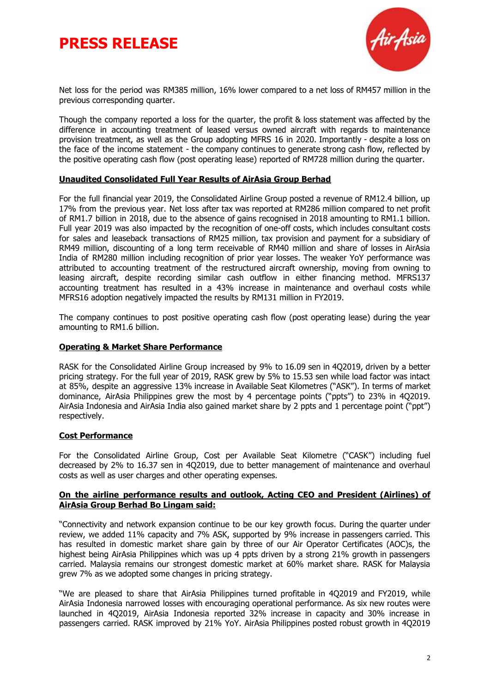# **PRESS RELEASE**



Net loss for the period was RM385 million, 16% lower compared to a net loss of RM457 million in the previous corresponding quarter.

Though the company reported a loss for the quarter, the profit & loss statement was affected by the difference in accounting treatment of leased versus owned aircraft with regards to maintenance provision treatment, as well as the Group adopting MFRS 16 in 2020. Importantly - despite a loss on the face of the income statement - the company continues to generate strong cash flow, reflected by the positive operating cash flow (post operating lease) reported of RM728 million during the quarter.

#### **Unaudited Consolidated Full Year Results of AirAsia Group Berhad**

For the full financial year 2019, the Consolidated Airline Group posted a revenue of RM12.4 billion, up 17% from the previous year. Net loss after tax was reported at RM286 million compared to net profit of RM1.7 billion in 2018, due to the absence of gains recognised in 2018 amounting to RM1.1 billion. Full year 2019 was also impacted by the recognition of one-off costs, which includes consultant costs for sales and leaseback transactions of RM25 million, tax provision and payment for a subsidiary of RM49 million, discounting of a long term receivable of RM40 million and share of losses in AirAsia India of RM280 million including recognition of prior year losses. The weaker YoY performance was attributed to accounting treatment of the restructured aircraft ownership, moving from owning to leasing aircraft, despite recording similar cash outflow in either financing method. MFRS137 accounting treatment has resulted in a 43% increase in maintenance and overhaul costs while MFRS16 adoption negatively impacted the results by RM131 million in FY2019.

The company continues to post positive operating cash flow (post operating lease) during the year amounting to RM1.6 billion.

#### **Operating & Market Share Performance**

RASK for the Consolidated Airline Group increased by 9% to 16.09 sen in 4Q2019, driven by a better pricing strategy. For the full year of 2019, RASK grew by 5% to 15.53 sen while load factor was intact at 85%, despite an aggressive 13% increase in Available Seat Kilometres ("ASK"). In terms of market dominance, AirAsia Philippines grew the most by 4 percentage points ("ppts") to 23% in 4Q2019. AirAsia Indonesia and AirAsia India also gained market share by 2 ppts and 1 percentage point ("ppt") respectively.

#### **Cost Performance**

For the Consolidated Airline Group, Cost per Available Seat Kilometre ("CASK") including fuel decreased by 2% to 16.37 sen in 4Q2019, due to better management of maintenance and overhaul costs as well as user charges and other operating expenses.

#### **On the airline performance results and outlook, Acting CEO and President (Airlines) of AirAsia Group Berhad Bo Lingam said:**

"Connectivity and network expansion continue to be our key growth focus. During the quarter under review, we added 11% capacity and 7% ASK, supported by 9% increase in passengers carried. This has resulted in domestic market share gain by three of our Air Operator Certificates (AOC)s, the highest being AirAsia Philippines which was up 4 ppts driven by a strong 21% growth in passengers carried. Malaysia remains our strongest domestic market at 60% market share. RASK for Malaysia grew 7% as we adopted some changes in pricing strategy.

"We are pleased to share that AirAsia Philippines turned profitable in 4Q2019 and FY2019, while AirAsia Indonesia narrowed losses with encouraging operational performance. As six new routes were launched in 4Q2019, AirAsia Indonesia reported 32% increase in capacity and 30% increase in passengers carried. RASK improved by 21% YoY. AirAsia Philippines posted robust growth in 4Q2019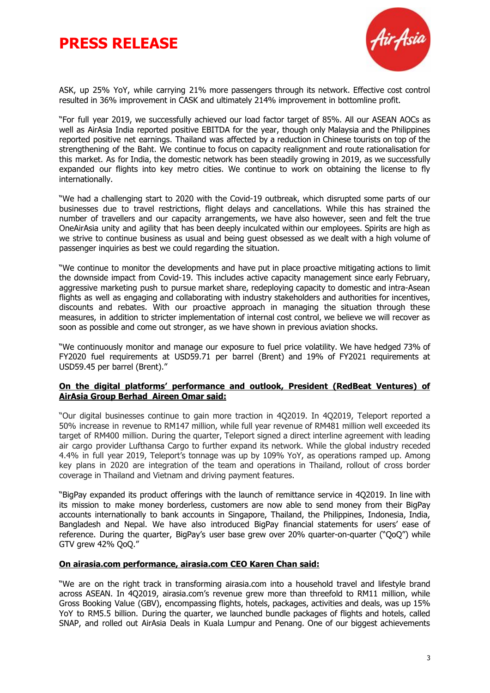# **PRESS RELEASE**



ASK, up 25% YoY, while carrying 21% more passengers through its network. Effective cost control resulted in 36% improvement in CASK and ultimately 214% improvement in bottomline profit.

"For full year 2019, we successfully achieved our load factor target of 85%. All our ASEAN AOCs as well as AirAsia India reported positive EBITDA for the year, though only Malaysia and the Philippines reported positive net earnings. Thailand was affected by a reduction in Chinese tourists on top of the strengthening of the Baht. We continue to focus on capacity realignment and route rationalisation for this market. As for India, the domestic network has been steadily growing in 2019, as we successfully expanded our flights into key metro cities. We continue to work on obtaining the license to fly internationally.

"We had a challenging start to 2020 with the Covid-19 outbreak, which disrupted some parts of our businesses due to travel restrictions, flight delays and cancellations. While this has strained the number of travellers and our capacity arrangements, we have also however, seen and felt the true OneAirAsia unity and agility that has been deeply inculcated within our employees. Spirits are high as we strive to continue business as usual and being guest obsessed as we dealt with a high volume of passenger inquiries as best we could regarding the situation.

"We continue to monitor the developments and have put in place proactive mitigating actions to limit the downside impact from Covid-19. This includes active capacity management since early February, aggressive marketing push to pursue market share, redeploying capacity to domestic and intra-Asean flights as well as engaging and collaborating with industry stakeholders and authorities for incentives, discounts and rebates. With our proactive approach in managing the situation through these measures, in addition to stricter implementation of internal cost control, we believe we will recover as soon as possible and come out stronger, as we have shown in previous aviation shocks.

"We continuously monitor and manage our exposure to fuel price volatility. We have hedged 73% of FY2020 fuel requirements at USD59.71 per barrel (Brent) and 19% of FY2021 requirements at USD59.45 per barrel (Brent)."

#### **On the digital platforms' performance and outlook, President (RedBeat Ventures) of AirAsia Group Berhad Aireen Omar said:**

"Our digital businesses continue to gain more traction in 4Q2019. In 4Q2019, Teleport reported a 50% increase in revenue to RM147 million, while full year revenue of RM481 million well exceeded its target of RM400 million. During the quarter, Teleport signed a direct interline agreement with leading air cargo provider Lufthansa Cargo to further expand its network. While the global industry receded 4.4% in full year 2019, Teleport's tonnage was up by 109% YoY, as operations ramped up. Among key plans in 2020 are integration of the team and operations in Thailand, rollout of cross border coverage in Thailand and Vietnam and driving payment features.

"BigPay expanded its product offerings with the launch of remittance service in 4Q2019. In line with its mission to make money borderless, customers are now able to send money from their BigPay accounts internationally to bank accounts in Singapore, Thailand, the Philippines, Indonesia, India, Bangladesh and Nepal. We have also introduced BigPay financial statements for users' ease of reference. During the quarter, BigPay's user base grew over 20% quarter-on-quarter ("QoQ") while GTV grew 42% QoQ."

#### **On airasia.com performance, airasia.com CEO Karen Chan said:**

"We are on the right track in transforming airasia.com into a household travel and lifestyle brand across ASEAN. In 4Q2019, airasia.com's revenue grew more than threefold to RM11 million, while Gross Booking Value (GBV), encompassing flights, hotels, packages, activities and deals, was up 15% YoY to RM5.5 billion. During the quarter, we launched bundle packages of flights and hotels, called SNAP, and rolled out AirAsia Deals in Kuala Lumpur and Penang. One of our biggest achievements